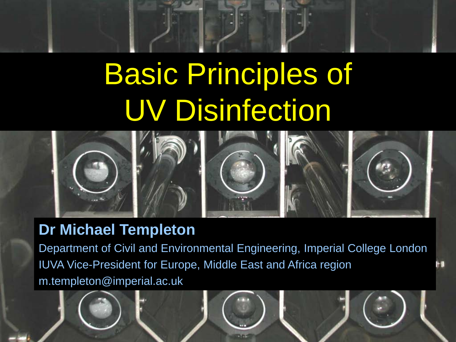# Basic Principles of UV Disinfection



#### **Dr Michael Templeton**

Page 1 © Imperial College London

Department of Civil and Environmental Engineering, Imperial College London IUVA Vice-President for Europe, Middle East and Africa region m.templeton@imperial.ac.uk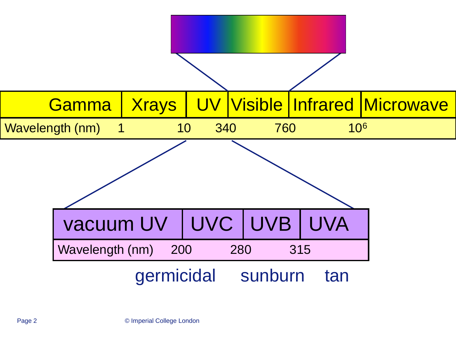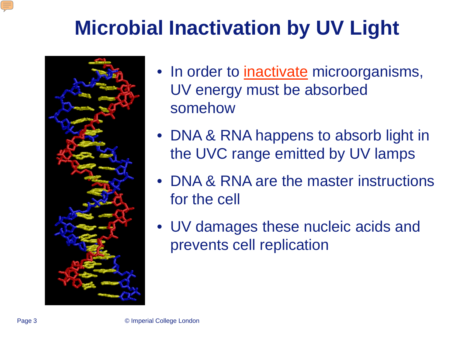# **Microbial Inactivation by UV Light**



- In order to *inactivate* microorganisms, UV energy must be absorbed somehow
- DNA & RNA happens to absorb light in the UVC range emitted by UV lamps
- DNA & RNA are the master instructions for the cell
- UV damages these nucleic acids and prevents cell replication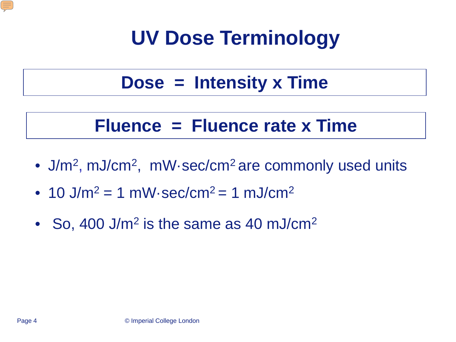

# **UV Dose Terminology**

#### **Dose = Intensity x Time**

#### **Fluence = Fluence rate x Time**

- J/m<sup>2</sup>, mJ/cm<sup>2</sup>, mW·sec/cm<sup>2</sup> are commonly used units
- 10 J/m<sup>2</sup> = 1 mW·sec/cm<sup>2</sup> = 1 mJ/cm<sup>2</sup>
- So, 400 J/m<sup>2</sup> is the same as 40 mJ/cm<sup>2</sup>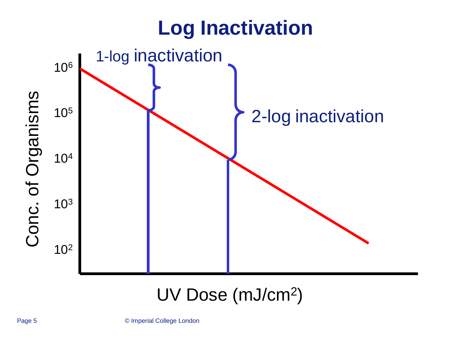

#### UV Dose (mJ/cm2)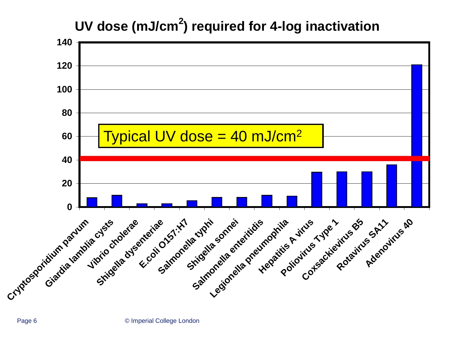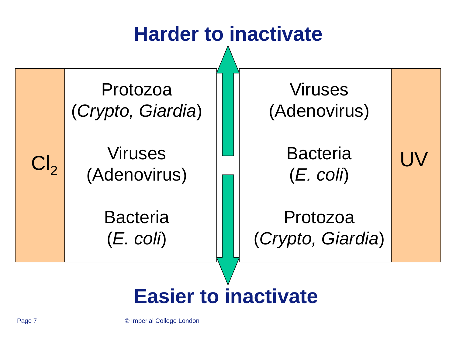

Page 7 © Imperial College London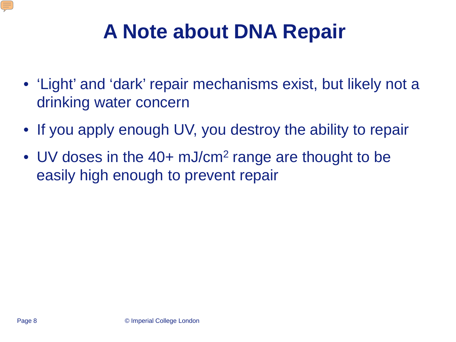

# **A Note about DNA Repair**

- 'Light' and 'dark' repair mechanisms exist, but likely not a drinking water concern
- If you apply enough UV, you destroy the ability to repair
- UV doses in the 40+ mJ/cm<sup>2</sup> range are thought to be easily high enough to prevent repair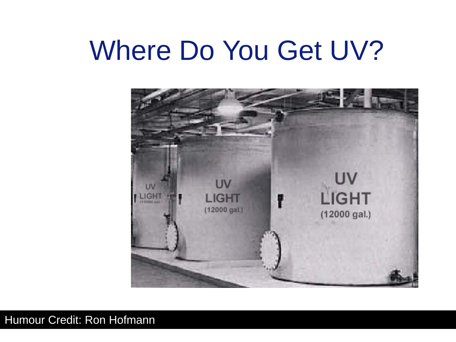# Where Do You Get UV?



#### Humour Credit: Ron Hofmann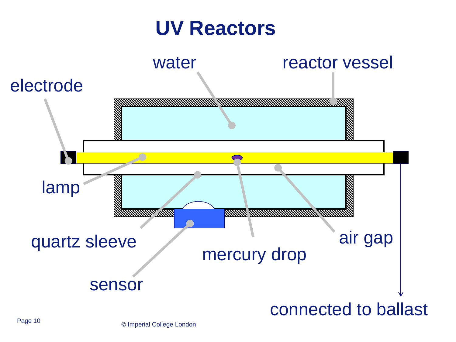#### **UV Reactors**

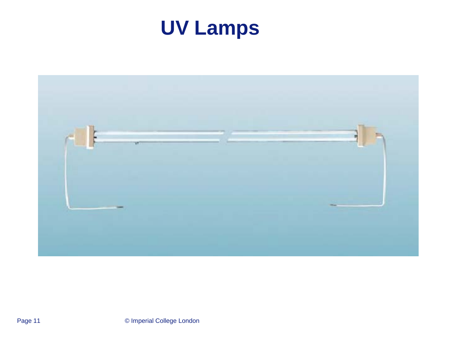

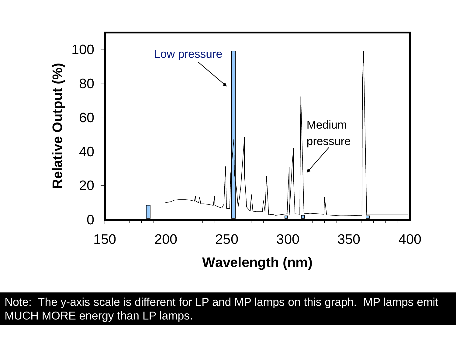

Note: The y-axis scale is different for LP and MP lamps on this graph. MP lamps emit MUCH MORE energy than LP lamps.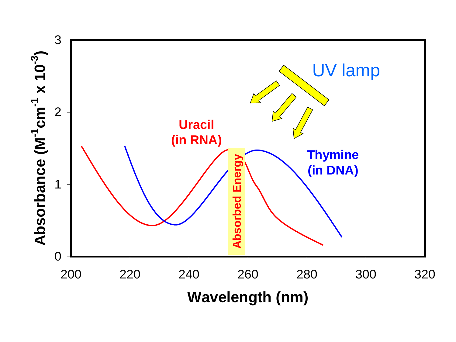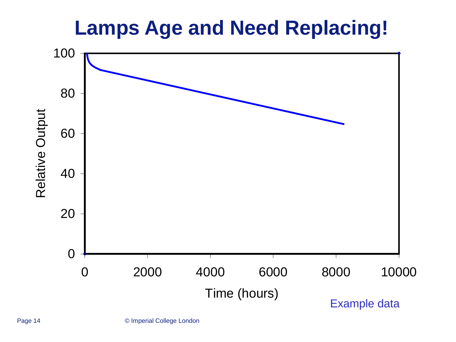### **Lamps Age and Need Replacing!**

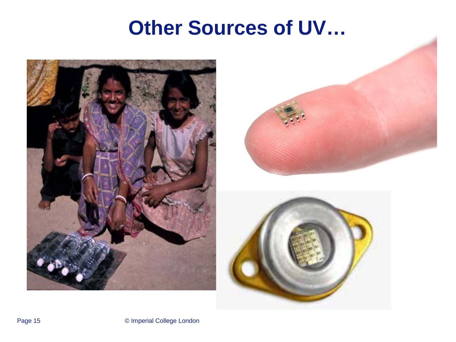### **Other Sources of UV…**





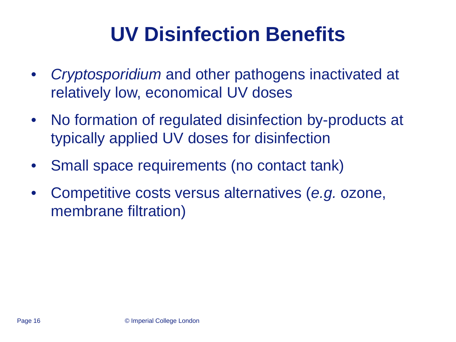# **UV Disinfection Benefits**

- *Cryptosporidium* and other pathogens inactivated at relatively low, economical UV doses
- No formation of regulated disinfection by-products at typically applied UV doses for disinfection
- Small space requirements (no contact tank)
- Competitive costs versus alternatives (*e.g.* ozone, membrane filtration)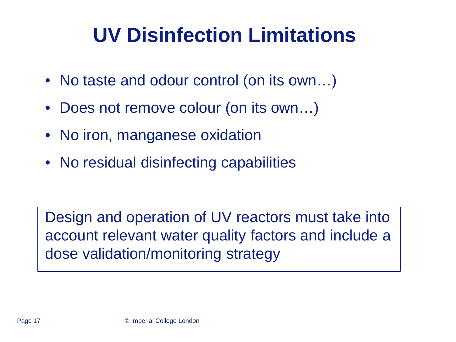# **UV Disinfection Limitations**

- No taste and odour control (on its own...)
- Does not remove colour (on its own...)
- No iron, manganese oxidation
- No residual disinfecting capabilities

Design and operation of UV reactors must take into account relevant water quality factors and include a dose validation/monitoring strategy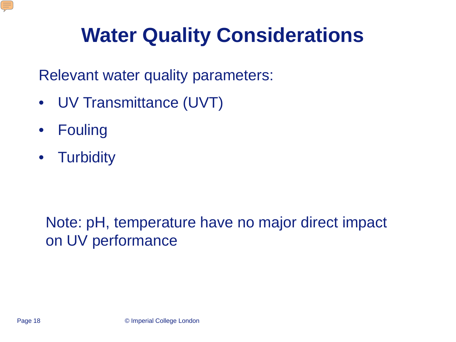

# **Water Quality Considerations**

Relevant water quality parameters:

- UV Transmittance (UVT)
- Fouling
- Turbidity

#### Note: pH, temperature have no major direct impact on UV performance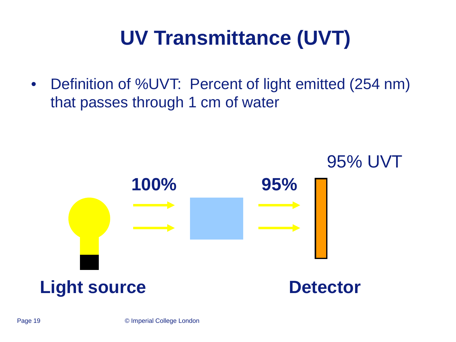# **UV Transmittance (UVT)**

• Definition of %UVT: Percent of light emitted (254 nm) that passes through 1 cm of water

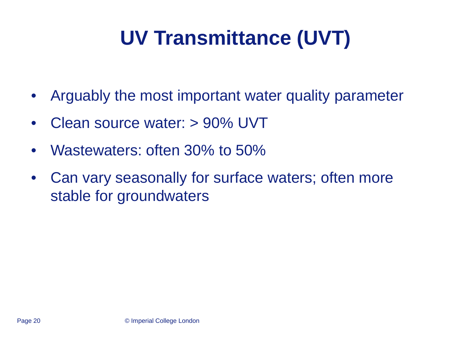# **UV Transmittance (UVT)**

- Arguably the most important water quality parameter
- Clean source water: > 90% UVT
- Wastewaters: often 30% to 50%
- Can vary seasonally for surface waters; often more stable for groundwaters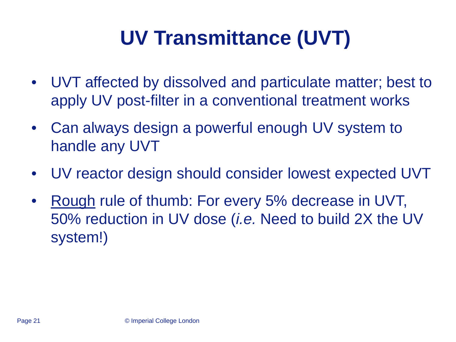# **UV Transmittance (UVT)**

- UVT affected by dissolved and particulate matter; best to apply UV post-filter in a conventional treatment works
- Can always design a powerful enough UV system to handle any UVT
- UV reactor design should consider lowest expected UVT
- Rough rule of thumb: For every 5% decrease in UVT, 50% reduction in UV dose (*i.e.* Need to build 2X the UV system!)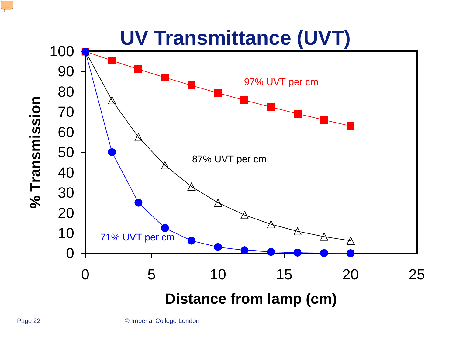

E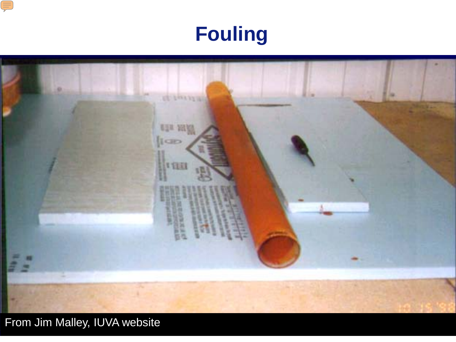





From Jim Malley, IUVA website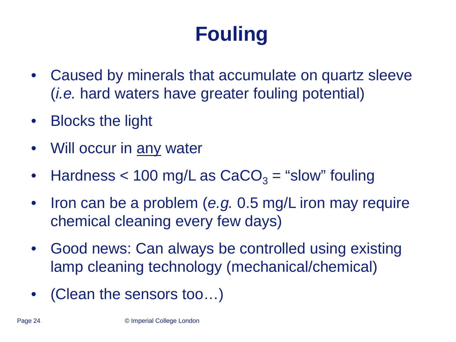# **Fouling**

- Caused by minerals that accumulate on quartz sleeve (*i.e.* hard waters have greater fouling potential)
- Blocks the light
- Will occur in any water
- Hardness  $<$  100 mg/L as CaCO<sub>3</sub> = "slow" fouling
- Iron can be a problem (*e.g.* 0.5 mg/L iron may require chemical cleaning every few days)
- Good news: Can always be controlled using existing lamp cleaning technology (mechanical/chemical)
- (Clean the sensors too...)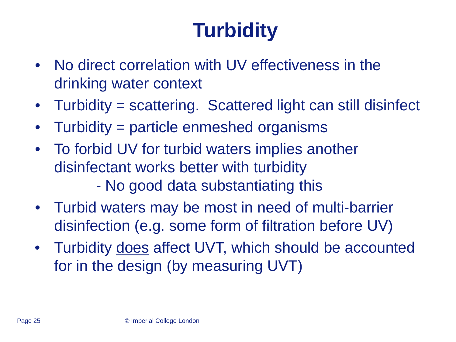# **Turbidity**

- No direct correlation with UV effectiveness in the drinking water context
- Turbidity = scattering. Scattered light can still disinfect
- Turbidity = particle enmeshed organisms
- To forbid UV for turbid waters implies another disinfectant works better with turbidity - No good data substantiating this
- Turbid waters may be most in need of multi-barrier disinfection (e.g. some form of filtration before UV)
- Turbidity does affect UVT, which should be accounted for in the design (by measuring UVT)